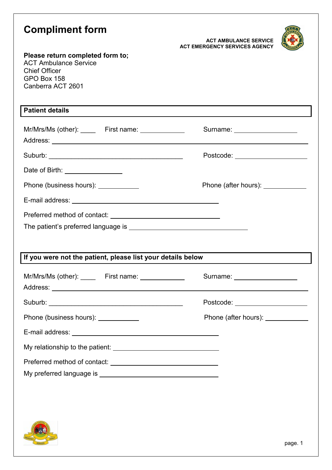| <b>Compliment form</b><br>Please return completed form to;<br><b>ACT Ambulance Service</b><br><b>Chief Officer</b> | <b>ACT AMBULANCE SERVICE</b><br><b>ACT EMERGENCY SERVICES AGENCY</b> |  |  |  |  |
|--------------------------------------------------------------------------------------------------------------------|----------------------------------------------------------------------|--|--|--|--|
| GPO Box 158<br>Canberra ACT 2601                                                                                   |                                                                      |  |  |  |  |
| <b>Patient details</b>                                                                                             |                                                                      |  |  |  |  |
| Mr/Mrs/Ms (other): First name: 1990 First name:                                                                    | Surname: <u>www.community.com</u>                                    |  |  |  |  |
|                                                                                                                    | Postcode: New York Discovery Postcode:                               |  |  |  |  |
| Date of Birth: ________________                                                                                    |                                                                      |  |  |  |  |
| Phone (business hours): ____________                                                                               | Phone (after hours): ____________                                    |  |  |  |  |
|                                                                                                                    |                                                                      |  |  |  |  |
|                                                                                                                    |                                                                      |  |  |  |  |
| If you were not the patient, please list your details below                                                        |                                                                      |  |  |  |  |
| Mr/Mrs/Ms (other): _______ First name: ______________                                                              | Surname: <u>_______________________</u>                              |  |  |  |  |
|                                                                                                                    | Postcode: ______________________                                     |  |  |  |  |
| Phone (business hours): ____________                                                                               | Phone (after hours): _____________                                   |  |  |  |  |
|                                                                                                                    |                                                                      |  |  |  |  |
|                                                                                                                    |                                                                      |  |  |  |  |
|                                                                                                                    |                                                                      |  |  |  |  |
|                                                                                                                    |                                                                      |  |  |  |  |
|                                                                                                                    |                                                                      |  |  |  |  |

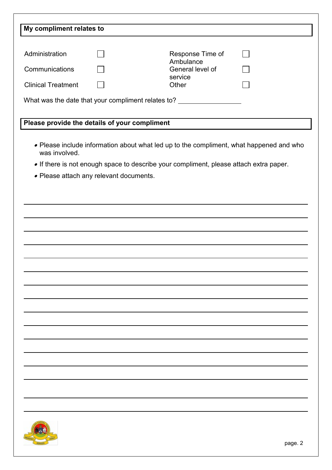| Administration<br>Response Time of<br>Ambulance<br>General level of<br>Communications<br>service<br><b>Clinical Treatment</b><br>Other<br>What was the date that your compliment relates to? ____________<br>Please provide the details of your compliment<br>• Please include information about what led up to the compliment, what happened and who<br>was involved.<br>. If there is not enough space to describe your compliment, please attach extra paper.<br>• Please attach any relevant documents. | My compliment relates to |  |  |
|-------------------------------------------------------------------------------------------------------------------------------------------------------------------------------------------------------------------------------------------------------------------------------------------------------------------------------------------------------------------------------------------------------------------------------------------------------------------------------------------------------------|--------------------------|--|--|
|                                                                                                                                                                                                                                                                                                                                                                                                                                                                                                             |                          |  |  |
|                                                                                                                                                                                                                                                                                                                                                                                                                                                                                                             |                          |  |  |
|                                                                                                                                                                                                                                                                                                                                                                                                                                                                                                             |                          |  |  |
|                                                                                                                                                                                                                                                                                                                                                                                                                                                                                                             |                          |  |  |
|                                                                                                                                                                                                                                                                                                                                                                                                                                                                                                             |                          |  |  |
|                                                                                                                                                                                                                                                                                                                                                                                                                                                                                                             |                          |  |  |
|                                                                                                                                                                                                                                                                                                                                                                                                                                                                                                             |                          |  |  |
|                                                                                                                                                                                                                                                                                                                                                                                                                                                                                                             |                          |  |  |
|                                                                                                                                                                                                                                                                                                                                                                                                                                                                                                             |                          |  |  |
|                                                                                                                                                                                                                                                                                                                                                                                                                                                                                                             |                          |  |  |
|                                                                                                                                                                                                                                                                                                                                                                                                                                                                                                             |                          |  |  |
|                                                                                                                                                                                                                                                                                                                                                                                                                                                                                                             |                          |  |  |
|                                                                                                                                                                                                                                                                                                                                                                                                                                                                                                             |                          |  |  |
|                                                                                                                                                                                                                                                                                                                                                                                                                                                                                                             |                          |  |  |
|                                                                                                                                                                                                                                                                                                                                                                                                                                                                                                             |                          |  |  |
|                                                                                                                                                                                                                                                                                                                                                                                                                                                                                                             |                          |  |  |
|                                                                                                                                                                                                                                                                                                                                                                                                                                                                                                             |                          |  |  |
|                                                                                                                                                                                                                                                                                                                                                                                                                                                                                                             |                          |  |  |
|                                                                                                                                                                                                                                                                                                                                                                                                                                                                                                             |                          |  |  |
|                                                                                                                                                                                                                                                                                                                                                                                                                                                                                                             |                          |  |  |